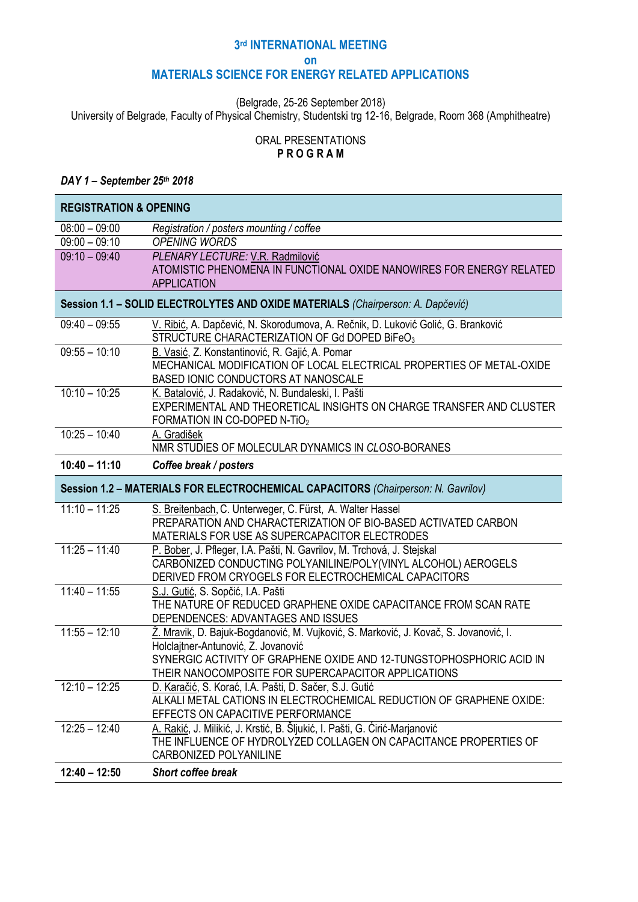# **3 rd INTERNATIONAL MEETING**

#### **on**

# **MATERIALS SCIENCE FOR ENERGY RELATED APPLICATIONS**

(Belgrade, 25-26 September 2018)

University of Belgrade, Faculty of Physical Chemistry, Studentski trg 12-16, Belgrade, Room 368 (Amphitheatre)

# ORAL PRESENTATIONS **P R O G R A M**

### *DAY 1 – September 25th 2018*

| <b>REGISTRATION &amp; OPENING</b>                                                 |                                                                                                                                   |  |  |
|-----------------------------------------------------------------------------------|-----------------------------------------------------------------------------------------------------------------------------------|--|--|
| $08:00 - 09:00$                                                                   | Registration / posters mounting / coffee                                                                                          |  |  |
| $09:00 - 09:10$                                                                   | <b>OPENING WORDS</b>                                                                                                              |  |  |
| $09:10 - 09:40$                                                                   | PLENARY LECTURE: V.R. Radmilović                                                                                                  |  |  |
|                                                                                   | ATOMISTIC PHENOMENA IN FUNCTIONAL OXIDE NANOWIRES FOR ENERGY RELATED                                                              |  |  |
|                                                                                   | <b>APPLICATION</b>                                                                                                                |  |  |
| Session 1.1 - SOLID ELECTROLYTES AND OXIDE MATERIALS (Chairperson: A. Dapčević)   |                                                                                                                                   |  |  |
| $09:40 - 09:55$                                                                   | V. Ribić, A. Dapčević, N. Skorodumova, A. Rečnik, D. Luković Golić, G. Branković<br>STRUCTURE CHARACTERIZATION OF Gd DOPED BIFeO3 |  |  |
| $09:55 - 10:10$                                                                   | B. Vasić, Z. Konstantinović, R. Gajić, A. Pomar                                                                                   |  |  |
|                                                                                   | MECHANICAL MODIFICATION OF LOCAL ELECTRICAL PROPERTIES OF METAL-OXIDE                                                             |  |  |
|                                                                                   | BASED IONIC CONDUCTORS AT NANOSCALE                                                                                               |  |  |
| $10:10 - 10:25$                                                                   | K. Batalović, J. Radaković, N. Bundaleski, I. Pašti                                                                               |  |  |
|                                                                                   | EXPERIMENTAL AND THEORETICAL INSIGHTS ON CHARGE TRANSFER AND CLUSTER<br>FORMATION IN CO-DOPED N-TIO2                              |  |  |
| $10:25 - 10:40$                                                                   | A. Gradišek                                                                                                                       |  |  |
|                                                                                   | NMR STUDIES OF MOLECULAR DYNAMICS IN CLOSO-BORANES                                                                                |  |  |
| $10:40 - 11:10$                                                                   | Coffee break / posters                                                                                                            |  |  |
| Session 1.2 - MATERIALS FOR ELECTROCHEMICAL CAPACITORS (Chairperson: N. Gavrilov) |                                                                                                                                   |  |  |
| $11:10 - 11:25$                                                                   | S. Breitenbach, C. Unterweger, C. Fürst, A. Walter Hassel                                                                         |  |  |
|                                                                                   | PREPARATION AND CHARACTERIZATION OF BIO-BASED ACTIVATED CARBON                                                                    |  |  |
|                                                                                   | MATERIALS FOR USE AS SUPERCAPACITOR ELECTRODES                                                                                    |  |  |
| $11:25 - 11:40$                                                                   | P. Bober, J. Pfleger, I.A. Pašti, N. Gavrilov, M. Trchová, J. Stejskal                                                            |  |  |
|                                                                                   | CARBONIZED CONDUCTING POLYANILINE/POLY(VINYL ALCOHOL) AEROGELS                                                                    |  |  |
|                                                                                   | DERIVED FROM CRYOGELS FOR ELECTROCHEMICAL CAPACITORS                                                                              |  |  |
| $11:40 - 11:55$                                                                   | S.J. Gutić, S. Sopčić, I.A. Pašti                                                                                                 |  |  |
|                                                                                   | THE NATURE OF REDUCED GRAPHENE OXIDE CAPACITANCE FROM SCAN RATE<br>DEPENDENCES: ADVANTAGES AND ISSUES                             |  |  |
| $11:55 - 12:10$                                                                   | Ž. Mravik, D. Bajuk-Bogdanović, M. Vujković, S. Marković, J. Kovač, S. Jovanović, I.                                              |  |  |
|                                                                                   | Holclajtner-Antunović, Z. Jovanović                                                                                               |  |  |
|                                                                                   | SYNERGIC ACTIVITY OF GRAPHENE OXIDE AND 12-TUNGSTOPHOSPHORIC ACID IN                                                              |  |  |
|                                                                                   | THEIR NANOCOMPOSITE FOR SUPERCAPACITOR APPLICATIONS                                                                               |  |  |
| $12:10 - 12:25$                                                                   | D. Karačić, S. Korać, I.A. Pašti, D. Sačer, S.J. Gutić                                                                            |  |  |
|                                                                                   | ALKALI METAL CATIONS IN ELECTROCHEMICAL REDUCTION OF GRAPHENE OXIDE:                                                              |  |  |
|                                                                                   | EFFECTS ON CAPACITIVE PERFORMANCE                                                                                                 |  |  |
| $12:25 - 12:40$                                                                   | A. Rakić, J. Milikić, J. Krstić, B. Šljukić, I. Pašti, G. Ćirić-Marjanović                                                        |  |  |
|                                                                                   | THE INFLUENCE OF HYDROLYZED COLLAGEN ON CAPACITANCE PROPERTIES OF                                                                 |  |  |
|                                                                                   | CARBONIZED POLYANILINE                                                                                                            |  |  |
| $12:40 - 12:50$                                                                   | Short coffee break                                                                                                                |  |  |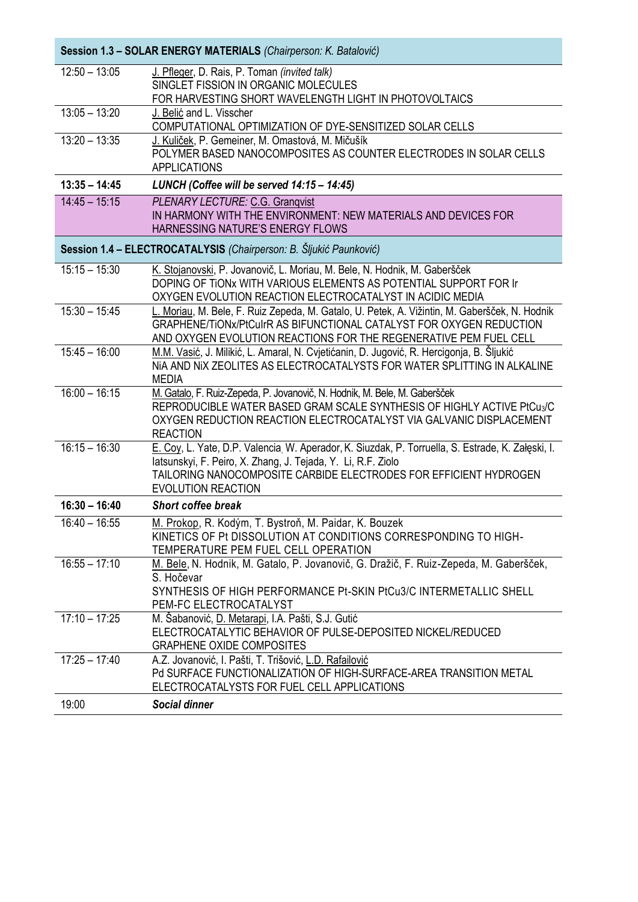| Session 1.3 - SOLAR ENERGY MATERIALS (Chairperson: K. Batalović)   |                                                                                                                                                                                                                                                                     |  |
|--------------------------------------------------------------------|---------------------------------------------------------------------------------------------------------------------------------------------------------------------------------------------------------------------------------------------------------------------|--|
| $12:50 - 13:05$                                                    | J. Pfleger, D. Rais, P. Toman (invited talk)<br>SINGLET FISSION IN ORGANIC MOLECULES<br>FOR HARVESTING SHORT WAVELENGTH LIGHT IN PHOTOVOLTAICS                                                                                                                      |  |
| $13:05 - 13:20$                                                    | J. Belić and L. Visscher<br>COMPUTATIONAL OPTIMIZATION OF DYE-SENSITIZED SOLAR CELLS                                                                                                                                                                                |  |
| $13:20 - 13:35$                                                    | J. Kuliček, P. Gemeiner, M. Omastová, M. Mičušík<br>POLYMER BASED NANOCOMPOSITES AS COUNTER ELECTRODES IN SOLAR CELLS<br><b>APPLICATIONS</b>                                                                                                                        |  |
| $13:35 - 14:45$                                                    | LUNCH (Coffee will be served 14:15 - 14:45)                                                                                                                                                                                                                         |  |
| $14:45 - 15:15$                                                    | PLENARY LECTURE: C.G. Granqvist<br>IN HARMONY WITH THE ENVIRONMENT: NEW MATERIALS AND DEVICES FOR<br>HARNESSING NATURE'S ENERGY FLOWS                                                                                                                               |  |
| Session 1.4 - ELECTROCATALYSIS (Chairperson: B. Šljukić Paunković) |                                                                                                                                                                                                                                                                     |  |
| $15:15 - 15:30$                                                    | K. Stojanovski, P. Jovanovič, L. Moriau, M. Bele, N. Hodnik, M. Gaberšček<br>DOPING OF TIONX WITH VARIOUS ELEMENTS AS POTENTIAL SUPPORT FOR IT<br>OXYGEN EVOLUTION REACTION ELECTROCATALYST IN ACIDIC MEDIA                                                         |  |
| $15:30 - 15:45$                                                    | L. Moriau, M. Bele, F. Ruiz Zepeda, M. Gatalo, U. Petek, A. Vižintin, M. Gaberšček, N. Hodnik<br>GRAPHENE/TIONx/PtCulrR AS BIFUNCTIONAL CATALYST FOR OXYGEN REDUCTION<br>AND OXYGEN EVOLUTION REACTIONS FOR THE REGENERATIVE PEM FUEL CELL                          |  |
| $15:45 - 16:00$                                                    | M.M. Vasić, J. Milikić, L. Amaral, N. Cvjetićanin, D. Jugović, R. Hercigonja, B. Šljukić<br>NIA AND NIX ZEOLITES AS ELECTROCATALYSTS FOR WATER SPLITTING IN ALKALINE<br><b>MEDIA</b>                                                                                |  |
| $16:00 - 16:15$                                                    | M. Gatalo, F. Ruiz-Zepeda, P. Jovanovič, N. Hodnik, M. Bele, M. Gaberšček<br>REPRODUCIBLE WATER BASED GRAM SCALE SYNTHESIS OF HIGHLY ACTIVE PtCu3/C<br>OXYGEN REDUCTION REACTION ELECTROCATALYST VIA GALVANIC DISPLACEMENT<br><b>REACTION</b>                       |  |
| $16:15 - 16:30$                                                    | E. Coy, L. Yate, D.P. Valencia, W. Aperador, K. Siuzdak, P. Torruella, S. Estrade, K. Załęski, I.<br>latsunskyi, F. Peiro, X. Zhang, J. Tejada, Y. Li, R.F. Ziolo<br>TAILORING NANOCOMPOSITE CARBIDE ELECTRODES FOR EFFICIENT HYDROGEN<br><b>EVOLUTION REACTION</b> |  |
| $16:30 - 16:40$                                                    | Short coffee break                                                                                                                                                                                                                                                  |  |
| $16:40 - 16:55$                                                    | M. Prokop, R. Kodým, T. Bystroň, M. Paidar, K. Bouzek<br>KINETICS OF Pt DISSOLUTION AT CONDITIONS CORRESPONDING TO HIGH-<br>TEMPERATURE PEM FUEL CELL OPERATION                                                                                                     |  |
| $16:55 - 17:10$                                                    | M. Bele, N. Hodnik, M. Gatalo, P. Jovanovič, G. Dražič, F. Ruiz-Zepeda, M. Gaberšček,<br>S. Hočevar<br>SYNTHESIS OF HIGH PERFORMANCE Pt-SKIN PtCu3/C INTERMETALLIC SHELL<br>PEM-FC ELECTROCATALYST                                                                  |  |
| $17:10 - 17:25$                                                    | M. Šabanović, D. Metarapi, I.A. Pašti, S.J. Gutić<br>ELECTROCATALYTIC BEHAVIOR OF PULSE-DEPOSITED NICKEL/REDUCED<br><b>GRAPHENE OXIDE COMPOSITES</b>                                                                                                                |  |
| $17:25 - 17:40$                                                    | A.Z. Jovanović, I. Pašti, T. Trišović, L.D. Rafailović<br>Pd SURFACE FUNCTIONALIZATION OF HIGH-SURFACE-AREA TRANSITION METAL<br>ELECTROCATALYSTS FOR FUEL CELL APPLICATIONS                                                                                         |  |
| 19:00                                                              | <b>Social dinner</b>                                                                                                                                                                                                                                                |  |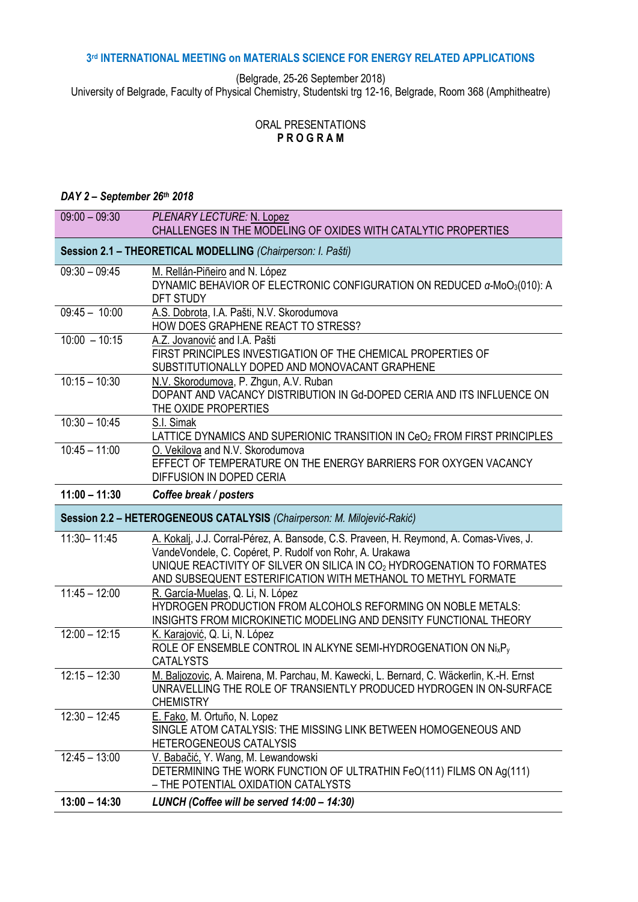#### **3 rd INTERNATIONAL MEETING on MATERIALS SCIENCE FOR ENERGY RELATED APPLICATIONS**

(Belgrade, 25-26 September 2018)

University of Belgrade, Faculty of Physical Chemistry, Studentski trg 12-16, Belgrade, Room 368 (Amphitheatre)

# ORAL PRESENTATIONS **P R O G R A M**

# *DAY 2 – September 26th 2018*

| $09:00 - 09:30$                                                         | PLENARY LECTURE: N. Lopez<br>CHALLENGES IN THE MODELING OF OXIDES WITH CATALYTIC PROPERTIES                                                                                                                                                                                                   |  |  |
|-------------------------------------------------------------------------|-----------------------------------------------------------------------------------------------------------------------------------------------------------------------------------------------------------------------------------------------------------------------------------------------|--|--|
| Session 2.1 - THEORETICAL MODELLING (Chairperson: I. Pašti)             |                                                                                                                                                                                                                                                                                               |  |  |
| $09:30 - 09:45$                                                         | M. Rellán-Piñeiro and N. López<br>DYNAMIC BEHAVIOR OF ELECTRONIC CONFIGURATION ON REDUCED $\alpha$ -MoO <sub>3</sub> (010): A<br>DFT STUDY                                                                                                                                                    |  |  |
| $09:45 - 10:00$                                                         | A.S. Dobrota, I.A. Pašti, N.V. Skorodumova<br>HOW DOES GRAPHENE REACT TO STRESS?                                                                                                                                                                                                              |  |  |
| $10:00 - 10:15$                                                         | A.Z. Jovanović and I.A. Pašti<br>FIRST PRINCIPLES INVESTIGATION OF THE CHEMICAL PROPERTIES OF<br>SUBSTITUTIONALLY DOPED AND MONOVACANT GRAPHENE                                                                                                                                               |  |  |
| $10:15 - 10:30$                                                         | N.V. Skorodumova, P. Zhgun, A.V. Ruban<br>DOPANT AND VACANCY DISTRIBUTION IN Gd-DOPED CERIA AND ITS INFLUENCE ON<br>THE OXIDE PROPERTIES                                                                                                                                                      |  |  |
| $10:30 - 10:45$                                                         | S.I. Simak<br>LATTICE DYNAMICS AND SUPERIONIC TRANSITION IN $\text{CeO}_2$ FROM FIRST PRINCIPLES                                                                                                                                                                                              |  |  |
| $10:45 - 11:00$                                                         | O. Vekilova and N.V. Skorodumova<br>EFFECT OF TEMPERATURE ON THE ENERGY BARRIERS FOR OXYGEN VACANCY<br>DIFFUSION IN DOPED CERIA                                                                                                                                                               |  |  |
| $11:00 - 11:30$                                                         | Coffee break / posters                                                                                                                                                                                                                                                                        |  |  |
| Session 2.2 - HETEROGENEOUS CATALYSIS (Chairperson: M. Milojević-Rakić) |                                                                                                                                                                                                                                                                                               |  |  |
|                                                                         |                                                                                                                                                                                                                                                                                               |  |  |
| 11:30-11:45                                                             | A. Kokalj, J.J. Corral-Pérez, A. Bansode, C.S. Praveen, H. Reymond, A. Comas-Vives, J.<br>VandeVondele, C. Copéret, P. Rudolf von Rohr, A. Urakawa<br>UNIQUE REACTIVITY OF SILVER ON SILICA IN CO2 HYDROGENATION TO FORMATES<br>AND SUBSEQUENT ESTERIFICATION WITH METHANOL TO METHYL FORMATE |  |  |
| $11:45 - 12:00$                                                         | R. García-Muelas, Q. Li, N. López<br>HYDROGEN PRODUCTION FROM ALCOHOLS REFORMING ON NOBLE METALS:<br>INSIGHTS FROM MICROKINETIC MODELING AND DENSITY FUNCTIONAL THEORY                                                                                                                        |  |  |
| $12:00 - 12:15$                                                         | K. Karajović, Q. Li, N. López<br>ROLE OF ENSEMBLE CONTROL IN ALKYNE SEMI-HYDROGENATION ON Ni <sub>x</sub> P <sub>v</sub><br><b>CATALYSTS</b>                                                                                                                                                  |  |  |
| $12:15 - 12:30$                                                         | M. Baljozovic, A. Mairena, M. Parchau, M. Kawecki, L. Bernard, C. Wäckerlin, K.-H. Ernst<br>UNRAVELLING THE ROLE OF TRANSIENTLY PRODUCED HYDROGEN IN ON-SURFACE<br><b>CHEMISTRY</b>                                                                                                           |  |  |
| $12:30 - 12:45$                                                         | E. Fako, M. Ortuño, N. Lopez<br>SINGLE ATOM CATALYSIS: THE MISSING LINK BETWEEN HOMOGENEOUS AND<br><b>HETEROGENEOUS CATALYSIS</b>                                                                                                                                                             |  |  |
| $12:45 - 13:00$                                                         | V. Babačić, Y. Wang, M. Lewandowski<br>DETERMINING THE WORK FUNCTION OF ULTRATHIN FeO(111) FILMS ON Ag(111)<br>- THE POTENTIAL OXIDATION CATALYSTS                                                                                                                                            |  |  |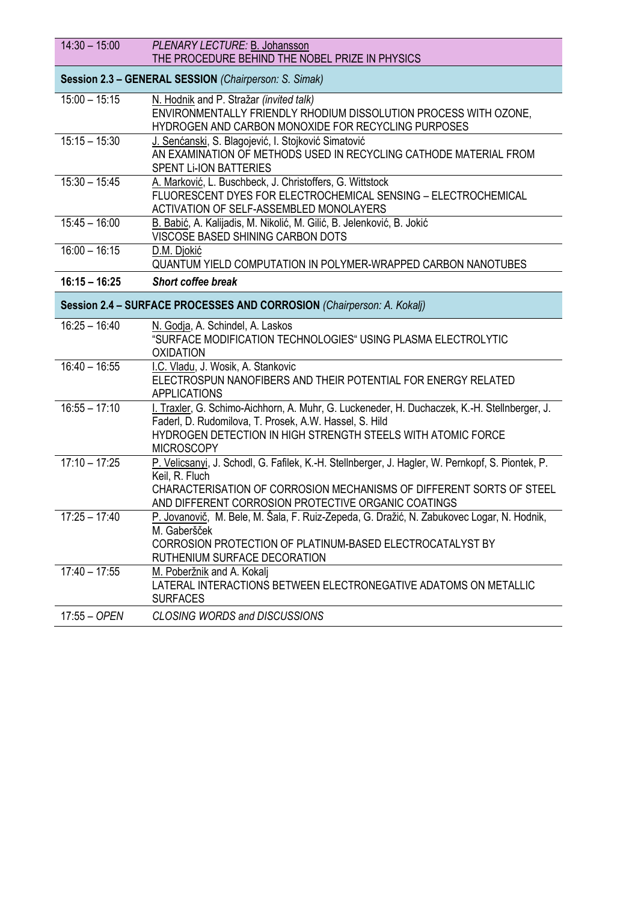| $14:30 - 15:00$ | PLENARY LECTURE: B. Johansson<br>THE PROCEDURE BEHIND THE NOBEL PRIZE IN PHYSICS                                                                                                                                                                  |
|-----------------|---------------------------------------------------------------------------------------------------------------------------------------------------------------------------------------------------------------------------------------------------|
|                 | Session 2.3 - GENERAL SESSION (Chairperson: S. Simak)                                                                                                                                                                                             |
| $15:00 - 15:15$ | N. Hodnik and P. Stražar (invited talk)<br>ENVIRONMENTALLY FRIENDLY RHODIUM DISSOLUTION PROCESS WITH OZONE,<br>HYDROGEN AND CARBON MONOXIDE FOR RECYCLING PURPOSES                                                                                |
| $15:15 - 15:30$ | J. Senćanski, S. Blagojević, I. Stojković Simatović<br>AN EXAMINATION OF METHODS USED IN RECYCLING CATHODE MATERIAL FROM<br><b>SPENT LI-ION BATTERIES</b>                                                                                         |
| $15:30 - 15:45$ | A. Marković, L. Buschbeck, J. Christoffers, G. Wittstock<br>FLUORESCENT DYES FOR ELECTROCHEMICAL SENSING - ELECTROCHEMICAL<br>ACTIVATION OF SELF-ASSEMBLED MONOLAYERS                                                                             |
| $15:45 - 16:00$ | B. Babić, A. Kalijadis, M. Nikolić, M. Gilić, B. Jelenković, B. Jokić<br>VISCOSE BASED SHINING CARBON DOTS                                                                                                                                        |
| $16:00 - 16:15$ | D.M. Djokić<br>QUANTUM YIELD COMPUTATION IN POLYMER-WRAPPED CARBON NANOTUBES                                                                                                                                                                      |
| $16:15 - 16:25$ | Short coffee break                                                                                                                                                                                                                                |
|                 | Session 2.4 - SURFACE PROCESSES AND CORROSION (Chairperson: A. Kokalj)                                                                                                                                                                            |
| $16:25 - 16:40$ | N. Godja, A. Schindel, A. Laskos<br>"SURFACE MODIFICATION TECHNOLOGIES" USING PLASMA ELECTROLYTIC<br><b>OXIDATION</b>                                                                                                                             |
| $16:40 - 16:55$ | I.C. Vladu, J. Wosik, A. Stankovic<br>ELECTROSPUN NANOFIBERS AND THEIR POTENTIAL FOR ENERGY RELATED<br><b>APPLICATIONS</b>                                                                                                                        |
| $16:55 - 17:10$ | I. Traxler, G. Schimo-Aichhorn, A. Muhr, G. Luckeneder, H. Duchaczek, K.-H. Stellnberger, J.<br>Faderl, D. Rudomilova, T. Prosek, A.W. Hassel, S. Hild<br>HYDROGEN DETECTION IN HIGH STRENGTH STEELS WITH ATOMIC FORCE<br><b>MICROSCOPY</b>       |
| $17:10 - 17:25$ | P. Velicsanyi, J. Schodl, G. Fafilek, K.-H. Stellnberger, J. Hagler, W. Pernkopf, S. Piontek, P.<br>Keil, R. Fluch<br>CHARACTERISATION OF CORROSION MECHANISMS OF DIFFERENT SORTS OF STEEL<br>AND DIFFERENT CORROSION PROTECTIVE ORGANIC COATINGS |
|                 |                                                                                                                                                                                                                                                   |
| $17:25 - 17:40$ | P. Jovanovič, M. Bele, M. Šala, F. Ruiz-Zepeda, G. Dražić, N. Zabukovec Logar, N. Hodnik,<br>M. Gaberšček<br>CORROSION PROTECTION OF PLATINUM-BASED ELECTROCATALYST BY<br>RUTHENIUM SURFACE DECORATION                                            |
| $17:40 - 17:55$ | M. Poberžnik and A. Kokalj<br>LATERAL INTERACTIONS BETWEEN ELECTRONEGATIVE ADATOMS ON METALLIC<br><b>SURFACES</b>                                                                                                                                 |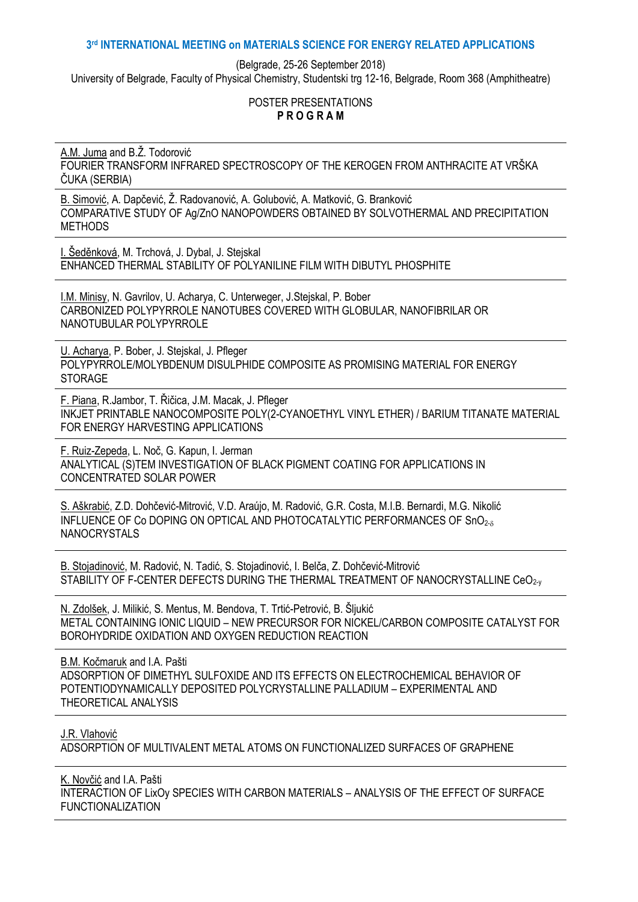# **3 rd INTERNATIONAL MEETING on MATERIALS SCIENCE FOR ENERGY RELATED APPLICATIONS**

(Belgrade, 25-26 September 2018)

University of Belgrade, Faculty of Physical Chemistry, Studentski trg 12-16, Belgrade, Room 368 (Amphitheatre)

### POSTER PRESENTATIONS **P R O G R A M**

A.M. Juma and B.Ž. Todorović FOURIER TRANSFORM INFRARED SPECTROSCOPY OF THE KEROGEN FROM ANTHRACITE AT VRŠKA ĈUKA (SERBIA)

B. Simović, A. Dapčević, Ž. Radovanović, A. Golubović, A. Matković, G. Branković COMPARATIVE STUDY OF Ag/ZnO NANOPOWDERS OBTAINED BY SOLVOTHERMAL AND PRECIPITATION METHODS

I. Šeděnková, M. Trchová, J. Dybal, J. Stejskal ENHANCED THERMAL STABILITY OF POLYANILINE FILM WITH DIBUTYL PHOSPHITE

I.M. Minisy, N. Gavrilov, U. Acharya, C. Unterweger, J.Stejskal, P. Bober CARBONIZED POLYPYRROLE NANOTUBES COVERED WITH GLOBULAR, NANOFIBRILAR OR NANOTUBULAR POLYPYRROLE

U. Acharya, P. Bober, J. Stejskal, J. Pfleger POLYPYRROLE/MOLYBDENUM DISULPHIDE COMPOSITE AS PROMISING MATERIAL FOR ENERGY STORAGE

F. Piana, R.Jambor, T. Řiĉica, J.M. Macak, J. Pfleger INKJET PRINTABLE NANOCOMPOSITE POLY(2-CYANOETHYL VINYL ETHER) / BARIUM TITANATE MATERIAL FOR ENERGY HARVESTING APPLICATIONS

F. Ruiz-Zepeda, L. Noĉ, G. Kapun, I. Jerman ANALYTICAL (S)TEM INVESTIGATION OF BLACK PIGMENT COATING FOR APPLICATIONS IN CONCENTRATED SOLAR POWER

S. Aškrabić, Z.D. Dohĉević-Mitrović, V.D. Araújo, M. Radović, G.R. Costa, M.I.B. Bernardi, M.G. Nikolić INFLUENCE OF Co DOPING ON OPTICAL AND PHOTOCATALYTIC PERFORMANCES OF SnO2- **NANOCRYSTALS** 

B. Stojadinović, M. Radović, N. Tadić, S. Stojadinović, I. Belĉa, Z. Dohĉević-Mitrović STABILITY OF F-CENTER DEFECTS DURING THE THERMAL TREATMENT OF NANOCRYSTALLINE CeO<sub>2-V</sub>

N. Zdolšek, J. Milikić, S. Mentus, M. Bendova, T. Trtić-Petrović, B. Šljukić METAL CONTAINING IONIC LIQUID – NEW PRECURSOR FOR NICKEL/CARBON COMPOSITE CATALYST FOR BOROHYDRIDE OXIDATION AND OXYGEN REDUCTION REACTION

B.M. Koĉmaruk and I.A. Pašti ADSORPTION OF DIMETHYL SULFOXIDE AND ITS EFFECTS ON ELECTROCHEMICAL BEHAVIOR OF POTENTIODYNAMICALLY DEPOSITED POLYCRYSTALLINE PALLADIUM – EXPERIMENTAL AND THEORETICAL ANALYSIS

J.R. Vlahović

ADSORPTION OF MULTIVALENT METAL ATOMS ON FUNCTIONALIZED SURFACES OF GRAPHENE

K. Novĉić and I.A. Pašti INTERACTION OF LixOy SPECIES WITH CARBON MATERIALS – ANALYSIS OF THE EFFECT OF SURFACE FUNCTIONALIZATION